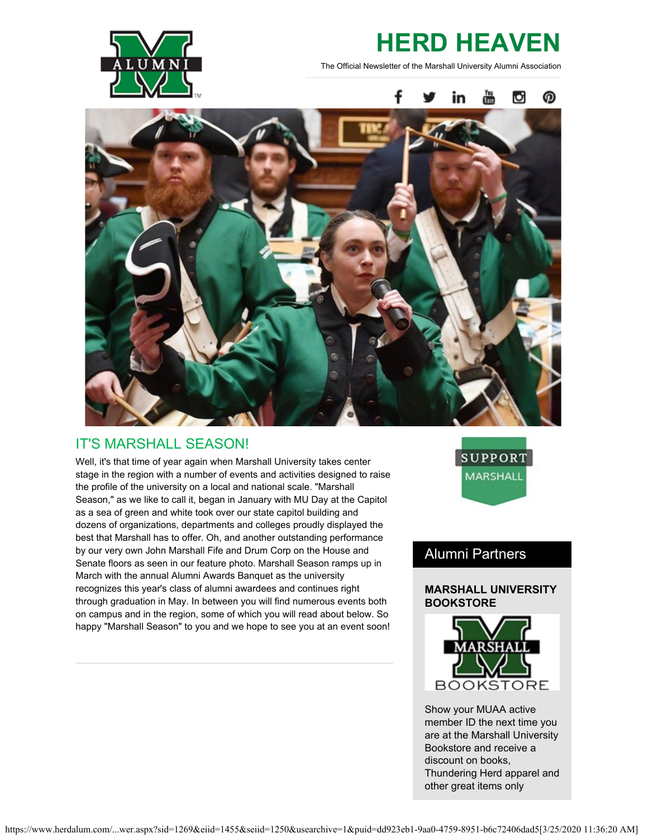

# **HERD HEAVEN**

The Official Newsletter of the Marshall University Alumni Association



# IT'S MARSHALL SEASON!

Well, it's that time of year again when Marshall University takes center stage in the region with a number of events and activities designed to raise the profile of the university on a local and national scale. "Marshall Season," as we like to call it, began in January with MU Day at the Capitol as a sea of green and white took over our state capitol building and dozens of organizations, departments and colleges proudly displayed the best that Marshall has to offer. Oh, and another outstanding performance by our very own John Marshall Fife and Drum Corp on the House and Senate floors as seen in our feature photo. Marshall Season ramps up in March with the annual Alumni Awards Banquet as the university recognizes this year's class of alumni awardees and continues right through graduation in May. In between you will find numerous events both on campus and in the region, some of which you will read about below. So happy "Marshall Season" to you and we hope to see you at an event soon!



# Alumni Partners

### **MARSHALL UNIVERSITY BOOKSTORE**



Show your MUAA active member ID the next time you are at the Marshall University Bookstore and receive a discount on books, Thundering Herd apparel and other great items only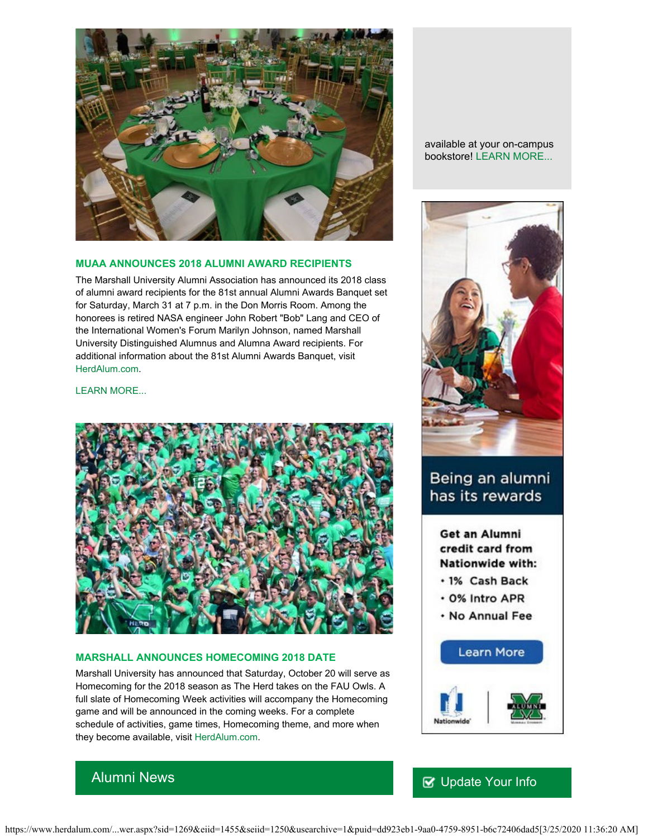

#### **MUAA ANNOUNCES 2018 ALUMNI AWARD RECIPIENTS**

The Marshall University Alumni Association has announced its 2018 class of alumni award recipients for the 81st annual Alumni Awards Banquet set for Saturday, March 31 at 7 p.m. in the Don Morris Room. Among the honorees is retired NASA engineer John Robert "Bob" Lang and CEO of the International Women's Forum Marilyn Johnson, named Marshall University Distinguished Alumnus and Alumna Award recipients. For additional information about the 81st Alumni Awards Banquet, visit [HerdAlum.com](http://www.herdalum.com/s/1269/start.aspx).

[LEARN MORE...](https://www.herdalum.com/s/1269/images/editor_documents/lc/herd_heaven/alumni_awards_banquet_release_1.pdf)



#### **MARSHALL ANNOUNCES HOMECOMING 2018 DATE**

Alumni News

Marshall University has announced that Saturday, October 20 will serve as Homecoming for the 2018 season as The Herd takes on the FAU Owls. A full slate of Homecoming Week activities will accompany the Homecoming game and will be announced in the coming weeks. For a complete schedule of activities, game times, Homecoming theme, and more when they become available, visit [HerdAlum.com](http://www.herdalum.com/s/1269/start.aspx).

available at your on-campus bookstore! [LEARN MORE...](https://www.bkstr.com/marshallstore/home/en?cm_mmc=Redirect-_-VanityURL-_-marshall.bkstr.com-_-10587)



# Being an alumni has its rewards

Get an Alumni credit card from Nationwide with:

- · 1% Cash Back
- . 0% Intro APR
- . No Annual Fee



## **V** [Update Your Info](http://www.herdalum.com/s/1269/index.aspx?sid=1269&gid=1&pgid=6&cid=41#/Search/Simple)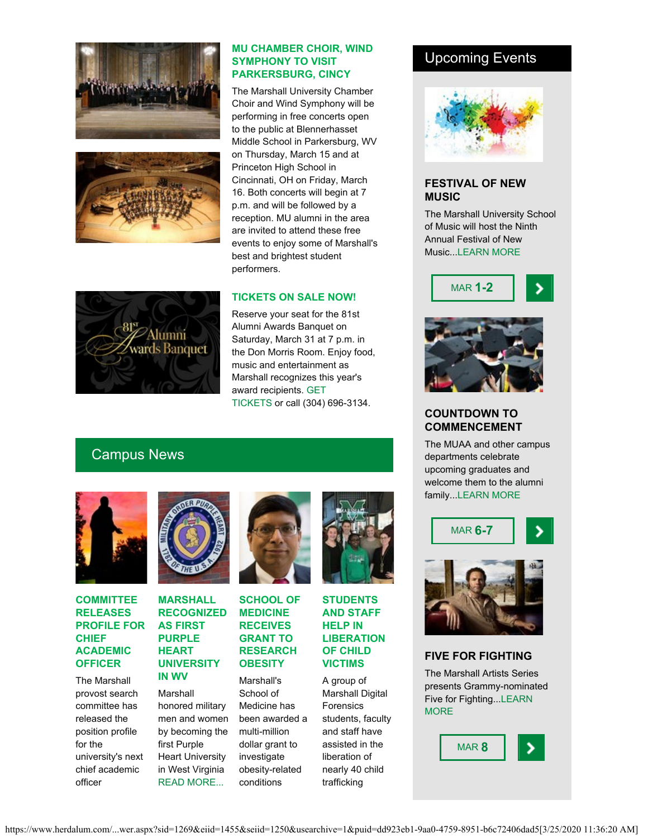



Alumni wards Banquet

#### **MU CHAMBER CHOIR, WIND SYMPHONY TO VISIT PARKERSBURG, CINCY**

The Marshall University Chamber Choir and Wind Symphony will be performing in free concerts open to the public at Blennerhasset Middle School in Parkersburg, WV on Thursday, March 15 and at Princeton High School in Cincinnati, OH on Friday, March 16. Both concerts will begin at 7 p.m. and will be followed by a reception. MU alumni in the area are invited to attend these free events to enjoy some of Marshall's best and brightest student performers.

### **TICKETS ON SALE NOW!**

Reserve your seat for the 81st Alumni Awards Banquet on Saturday, March 31 at 7 p.m. in the Don Morris Room. Enjoy food, music and entertainment as Marshall recognizes this year's award recipients. [GET](http://www.herdalum.com/s/1269/index.aspx?sid=1269&gid=1&pgid=429) [TICKETS](http://www.herdalum.com/s/1269/index.aspx?sid=1269&gid=1&pgid=429) or call (304) 696-3134.

# Campus News



#### **COMMITTEE RELEASES PROFILE FOR CHIEF ACADEMIC OFFICER**

The Marshall provost search committee has released the position profile for the university's next chief academic officer



#### **MARSHALL RECOGNIZED AS FIRST PURPLE HEART UNIVERSITY IN WV**

Marshall honored military men and women by becoming the first Purple Heart University in West Virginia [READ MORE...](https://www.marshall.edu/ucomm/2018/01/25/marshall-university-recognized-first-purple-heart-university-west-virginia/)



**SCHOOL OF MEDICINE RECEIVES GRANT TO RESEARCH OBESITY**

Marshall's School of Medicine has been awarded a multi-million dollar grant to investigate obesity-related conditions



**STUDENTS AND STAFF HELP IN LIBERATION OF CHILD VICTIMS**

A group of Marshall Digital Forensics students, faculty and staff have assisted in the liberation of nearly 40 child trafficking

### Upcoming Events



#### **FESTIVAL OF NEW MUSIC**

The Marshall University School of Music will host the Ninth Annual Festival of New Music..[.LEARN MORE](https://www.marshall.edu/ucomm/2018/02/16/marshall-university-host-ninth-annual-festival-new-music-march-1-2/)





### **COUNTDOWN TO COMMENCEMENT**

The MUAA and other campus departments celebrate upcoming graduates and welcome them to the alumni family..[.LEARN MORE](http://www.herdalum.com/s/1269/index.aspx?sid=1269&gid=1&pgid=966)



### **FIVE FOR FIGHTING**

The Marshall Artists Series presents Grammy-nominated Five for Fighting...[LEARN](http://www.marshall.edu/muartistseries/show?id=27) **[MORE](http://www.marshall.edu/muartistseries/show?id=27)**